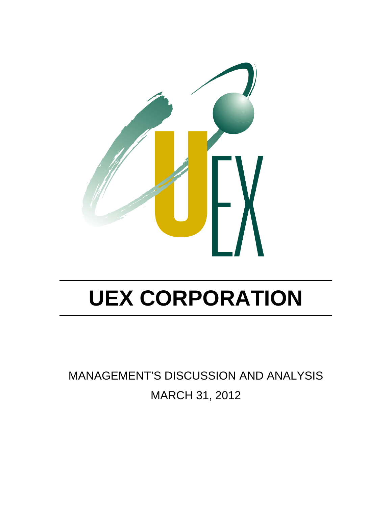

MANAGEMENT'S DISCUSSION AND ANALYSIS MARCH 31, 2012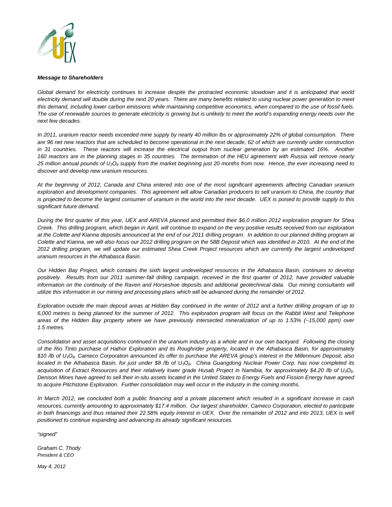

#### *Message to Shareholders*

Global demand for electricity continues to increase despite the protracted economic slowdown and it is anticipated that world electricity demand will double during the next 20 years. There are many benefits related to using nuclear power generation to meet *this demand, including lower carbon emissions while maintaining competitive economics, when compared to the use of fossil fuels. The use of renewable sources to generate electricity is growing but is unlikely to meet the world's expanding energy needs over the next few decades.* 

*In 2011, uranium reactor needs exceeded mine supply by nearly 40 million lbs or approximately 22% of global consumption. There are 96 net new reactors that are scheduled to become operational in the next decade, 62 of which are currently under construction in 31 countries. These reactors will increase the electrical output from nuclear generation by an estimated 16%. Another 160 reactors are in the planning stages in 35 countries. The termination of the HEU agreement with Russia will remove nearly 25 million annual pounds of U3O8 supply from the market beginning just 20 months from now. Hence, the ever increasing need to discover and develop new uranium resources.* 

*At the beginning of 2012, Canada and China entered into one of the most significant agreements affecting Canadian uranium exploration and development companies. This agreement will allow Canadian producers to sell uranium to China, the country that is projected to become the largest consumer of uranium in the world into the next decade. UEX is poised to provide supply to this significant future demand.* 

*During the first quarter of this year, UEX and AREVA planned and permitted their \$6.0 million 2012 exploration program for Shea Creek. This drilling program, which began in April, will continue to expand on the very positive results received from our exploration at the Colette and Kianna deposits announced at the end of our 2011 drilling program. In addition to our planned drilling program at*  Colette and Kianna, we will also focus our 2012 drilling program on the 58B Deposit which was identified in 2010. At the end of the *2012 drilling program, we will update our estimated Shea Creek Project resources which are currently the largest undeveloped uranium resources in the Athabasca Basin.* 

*Our Hidden Bay Project, which contains the sixth largest undeveloped resources in the Athabasca Basin, continues to develop positively. Results from our 2011 summer-fall drilling campaign, received in the first quarter of 2012, have provided valuable* information on the continuity of the Raven and Horseshoe deposits and additional geotechnical data. Our mining consultants will *utilize this information in our mining and processing plans which will be advanced during the remainder of 2012.* 

*Exploration outside the main deposit areas at Hidden Bay continued in the winter of 2012 and a further drilling program of up to 6,000 metres is being planned for the summer of 2012. This exploration program will focus on the Rabbit West and Telephone areas of the Hidden Bay property where we have previously intersected mineralization of up to 1.53% (~15,000 ppm) over 1.5 metres.* 

*Consolidation and asset acquisitions continued in the uranium industry as a whole and in our own backyard. Following the closing of the Rio Tinto purchase of Hathor Exploration and its Roughrider property, located in the Athabasca Basin, for approximately \$10 /lb of U3O8, Cameco Corporation announced its offer to purchase the AREVA group's interest in the Millennium Deposit, also located in the Athabasca Basin, for just under \$8 /lb of U<sub>3</sub>O<sub>8</sub>. China Guangdong Nuclear Power Corp. has now completed its acquisition of Extract Resources and their relatively lower grade Husab Project in Namibia, for approximately \$4.20 /lb of U3O8. Denison Mines have agreed to sell their in-situ assets located in the United States to Energy Fuels and Fission Energy have agreed to acquire Pitchstone Exploration. Further consolidation may well occur in the industry in the coming months.* 

*In March 2012, we concluded both a public financing and a private placement which resulted in a significant increase in cash resources, currently amounting to approximately \$17.4 million. Our largest shareholder, Cameco Corporation, elected to participate*  in both financings and thus retained their 22.58% equity interest in UEX. Over the remainder of 2012 and into 2013, UEX is well *positioned to continue expanding and advancing its already significant resources.* 

*"signed"* 

*Graham C. Thody President & CEO* 

*May 4, 2012*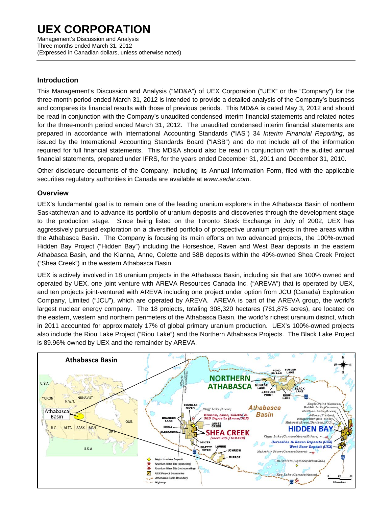Management's Discussion and Analysis Three months ended March 31, 2012 (Expressed in Canadian dollars, unless otherwise noted)

### **Introduction**

This Management's Discussion and Analysis ("MD&A") of UEX Corporation ("UEX" or the "Company") for the three-month period ended March 31, 2012 is intended to provide a detailed analysis of the Company's business and compares its financial results with those of previous periods. This MD&A is dated May 3, 2012 and should be read in conjunction with the Company's unaudited condensed interim financial statements and related notes for the three-month period ended March 31, 2012. The unaudited condensed interim financial statements are prepared in accordance with International Accounting Standards ("IAS") 34 *Interim Financial Reporting*, as issued by the International Accounting Standards Board ("IASB") and do not include all of the information required for full financial statements. This MD&A should also be read in conjunction with the audited annual financial statements, prepared under IFRS, for the years ended December 31, 2011 and December 31, 2010.

Other disclosure documents of the Company, including its Annual Information Form, filed with the applicable securities regulatory authorities in Canada are available at *www.sedar.com*.

### **Overview**

UEX's fundamental goal is to remain one of the leading uranium explorers in the Athabasca Basin of northern Saskatchewan and to advance its portfolio of uranium deposits and discoveries through the development stage to the production stage. Since being listed on the Toronto Stock Exchange in July of 2002, UEX has aggressively pursued exploration on a diversified portfolio of prospective uranium projects in three areas within the Athabasca Basin. The Company is focusing its main efforts on two advanced projects, the 100%-owned Hidden Bay Project ("Hidden Bay") including the Horseshoe, Raven and West Bear deposits in the eastern Athabasca Basin, and the Kianna, Anne, Colette and 58B deposits within the 49%-owned Shea Creek Project ("Shea Creek") in the western Athabasca Basin.

UEX is actively involved in 18 uranium projects in the Athabasca Basin, including six that are 100% owned and operated by UEX, one joint venture with AREVA Resources Canada Inc. ("AREVA") that is operated by UEX, and ten projects joint-ventured with AREVA including one project under option from JCU (Canada) Exploration Company, Limited ("JCU"), which are operated by AREVA. AREVA is part of the AREVA group, the world's largest nuclear energy company. The 18 projects, totaling 308,320 hectares (761,875 acres), are located on the eastern, western and northern perimeters of the Athabasca Basin, the world's richest uranium district, which in 2011 accounted for approximately 17% of global primary uranium production. UEX's 100%-owned projects also include the Riou Lake Project ("Riou Lake") and the Northern Athabasca Projects. The Black Lake Project is 89.96% owned by UEX and the remainder by AREVA.

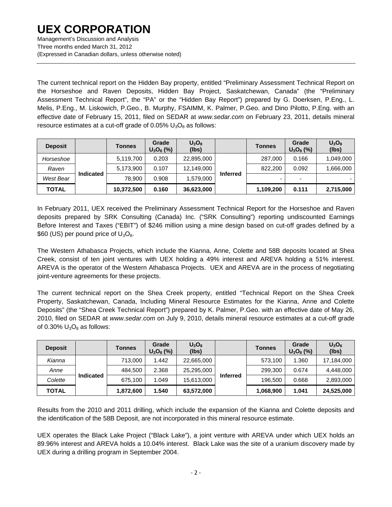The current technical report on the Hidden Bay property, entitled "Preliminary Assessment Technical Report on the Horseshoe and Raven Deposits, Hidden Bay Project, Saskatchewan, Canada" (the "Preliminary Assessment Technical Report", the "PA" or the "Hidden Bay Report") prepared by G. Doerksen, P.Eng., L. Melis, P.Eng., M. Liskowich, P.Geo., B. Murphy, FSAIMM, K. Palmer, P.Geo. and Dino Pilotto, P.Eng. with an effective date of February 15, 2011, filed on SEDAR at *www.sedar.com* on February 23, 2011, details mineral resource estimates at a cut-off grade of  $0.05\%$  U<sub>3</sub>O<sub>8</sub> as follows:

| <b>Deposit</b> |                  | <b>Tonnes</b> | Grade<br>$U_3O_8$ (%) | $U_3O_8$<br>(lbs) |                 | <b>Tonnes</b> | Grade<br>$U_3O_8$ (%) | $U_3O_8$<br>(lbs) |
|----------------|------------------|---------------|-----------------------|-------------------|-----------------|---------------|-----------------------|-------------------|
| Horseshoe      |                  | 5,119,700     | 0.203                 | 22,895,000        |                 | 287,000       | 0.166                 | 1,049,000         |
| Raven          |                  | 5,173,900     | 0.107                 | 12,149,000        |                 | 822,200       | 0.092                 | 1,666,000         |
| West Bear      | <b>Indicated</b> | 78.900        | 0.908                 | 1,579,000         | <b>Inferred</b> | -             |                       |                   |
| <b>TOTAL</b>   |                  | 10,372,500    | 0.160                 | 36,623,000        |                 | 1,109,200     | 0.111                 | 2,715,000         |

In February 2011, UEX received the Preliminary Assessment Technical Report for the Horseshoe and Raven deposits prepared by SRK Consulting (Canada) Inc. ("SRK Consulting") reporting undiscounted Earnings Before Interest and Taxes ("EBIT") of \$246 million using a mine design based on cut-off grades defined by a \$60 (US) per pound price of  $U_3O_8$ .

The Western Athabasca Projects, which include the Kianna, Anne, Colette and 58B deposits located at Shea Creek, consist of ten joint ventures with UEX holding a 49% interest and AREVA holding a 51% interest. AREVA is the operator of the Western Athabasca Projects. UEX and AREVA are in the process of negotiating joint-venture agreements for these projects.

The current technical report on the Shea Creek property, entitled "Technical Report on the Shea Creek Property, Saskatchewan, Canada, Including Mineral Resource Estimates for the Kianna, Anne and Colette Deposits" (the "Shea Creek Technical Report") prepared by K. Palmer, P.Geo. with an effective date of May 26, 2010, filed on SEDAR at *www.sedar.com* on July 9, 2010, details mineral resource estimates at a cut-off grade of 0.30%  $U_3O_8$  as follows:

| <b>Deposit</b> |                  | <b>Tonnes</b> | Grade<br>$U_3O_8$ (%) | $U_3O_8$<br>(lbs) |                 | <b>Tonnes</b> | Grade<br>$U_3O_8$ (%) | $U_3O_8$<br>(lbs) |
|----------------|------------------|---------------|-----------------------|-------------------|-----------------|---------------|-----------------------|-------------------|
| Kianna         |                  | 713,000       | 1.442                 | 22,665,000        |                 | 573,100       | 1.360                 | 17,184,000        |
| Anne           |                  | 484,500       | 2.368                 | 25,295,000        |                 | 299.300       | 0.674                 | 4,448,000         |
| Colette        | <b>Indicated</b> | 675.100       | 1.049                 | 15,613,000        | <b>Inferred</b> | 196,500       | 0.668                 | 2,893,000         |
| <b>TOTAL</b>   |                  | 1,872,600     | 1.540                 | 63,572,000        |                 | 1,068,900     | 1.041                 | 24,525,000        |

Results from the 2010 and 2011 drilling, which include the expansion of the Kianna and Colette deposits and the identification of the 58B Deposit, are not incorporated in this mineral resource estimate.

UEX operates the Black Lake Project ("Black Lake"), a joint venture with AREVA under which UEX holds an 89.96% interest and AREVA holds a 10.04% interest. Black Lake was the site of a uranium discovery made by UEX during a drilling program in September 2004.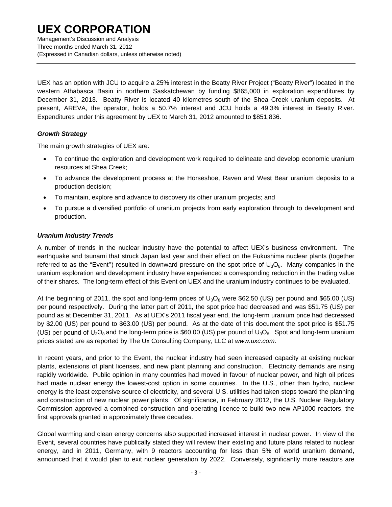Management's Discussion and Analysis Three months ended March 31, 2012 (Expressed in Canadian dollars, unless otherwise noted)

UEX has an option with JCU to acquire a 25% interest in the Beatty River Project ("Beatty River") located in the western Athabasca Basin in northern Saskatchewan by funding \$865,000 in exploration expenditures by December 31, 2013. Beatty River is located 40 kilometres south of the Shea Creek uranium deposits. At present, AREVA, the operator, holds a 50.7% interest and JCU holds a 49.3% interest in Beatty River. Expenditures under this agreement by UEX to March 31, 2012 amounted to \$851,836.

### *Growth Strategy*

The main growth strategies of UEX are:

- To continue the exploration and development work required to delineate and develop economic uranium resources at Shea Creek;
- To advance the development process at the Horseshoe, Raven and West Bear uranium deposits to a production decision;
- To maintain, explore and advance to discovery its other uranium projects; and
- To pursue a diversified portfolio of uranium projects from early exploration through to development and production.

#### *Uranium Industry Trends*

A number of trends in the nuclear industry have the potential to affect UEX's business environment. The earthquake and tsunami that struck Japan last year and their effect on the Fukushima nuclear plants (together referred to as the "Event") resulted in downward pressure on the spot price of  $U_3O_8$ . Many companies in the uranium exploration and development industry have experienced a corresponding reduction in the trading value of their shares. The long-term effect of this Event on UEX and the uranium industry continues to be evaluated.

At the beginning of 2011, the spot and long-term prices of  $U_3O_8$  were \$62.50 (US) per pound and \$65.00 (US) per pound respectively. During the latter part of 2011, the spot price had decreased and was \$51.75 (US) per pound as at December 31, 2011. As at UEX's 2011 fiscal year end, the long-term uranium price had decreased by \$2.00 (US) per pound to \$63.00 (US) per pound. As at the date of this document the spot price is \$51.75 (US) per pound of  $U_3O_8$  and the long-term price is \$60.00 (US) per pound of  $U_3O_8$ . Spot and long-term uranium prices stated are as reported by The Ux Consulting Company, LLC at *www.uxc.com*.

In recent years, and prior to the Event, the nuclear industry had seen increased capacity at existing nuclear plants, extensions of plant licenses, and new plant planning and construction. Electricity demands are rising rapidly worldwide. Public opinion in many countries had moved in favour of nuclear power, and high oil prices had made nuclear energy the lowest-cost option in some countries. In the U.S., other than hydro, nuclear energy is the least expensive source of electricity, and several U.S. utilities had taken steps toward the planning and construction of new nuclear power plants. Of significance, in February 2012, the U.S. Nuclear Regulatory Commission approved a combined construction and operating licence to build two new AP1000 reactors, the first approvals granted in approximately three decades.

Global warming and clean energy concerns also supported increased interest in nuclear power. In view of the Event, several countries have publically stated they will review their existing and future plans related to nuclear energy, and in 2011, Germany, with 9 reactors accounting for less than 5% of world uranium demand, announced that it would plan to exit nuclear generation by 2022. Conversely, significantly more reactors are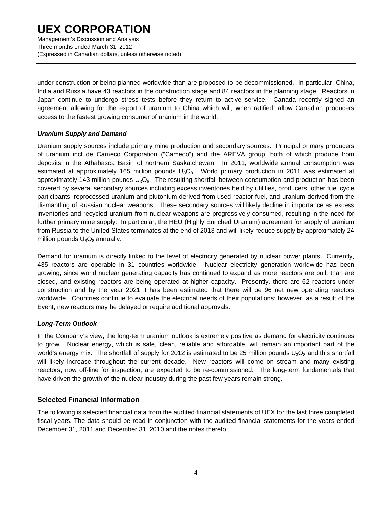Management's Discussion and Analysis Three months ended March 31, 2012 (Expressed in Canadian dollars, unless otherwise noted)

under construction or being planned worldwide than are proposed to be decommissioned. In particular, China, India and Russia have 43 reactors in the construction stage and 84 reactors in the planning stage. Reactors in Japan continue to undergo stress tests before they return to active service. Canada recently signed an agreement allowing for the export of uranium to China which will, when ratified, allow Canadian producers access to the fastest growing consumer of uranium in the world.

### *Uranium Supply and Demand*

Uranium supply sources include primary mine production and secondary sources. Principal primary producers of uranium include Cameco Corporation ("Cameco") and the AREVA group, both of which produce from deposits in the Athabasca Basin of northern Saskatchewan. In 2011, worldwide annual consumption was estimated at approximately 165 million pounds  $U_3O_8$ . World primary production in 2011 was estimated at approximately 143 million pounds  $U_3O_8$ . The resulting shortfall between consumption and production has been covered by several secondary sources including excess inventories held by utilities, producers, other fuel cycle participants, reprocessed uranium and plutonium derived from used reactor fuel, and uranium derived from the dismantling of Russian nuclear weapons. These secondary sources will likely decline in importance as excess inventories and recycled uranium from nuclear weapons are progressively consumed, resulting in the need for further primary mine supply. In particular, the HEU (Highly Enriched Uranium) agreement for supply of uranium from Russia to the United States terminates at the end of 2013 and will likely reduce supply by approximately 24 million pounds  $U_3O_8$  annually.

Demand for uranium is directly linked to the level of electricity generated by nuclear power plants. Currently, 435 reactors are operable in 31 countries worldwide. Nuclear electricity generation worldwide has been growing, since world nuclear generating capacity has continued to expand as more reactors are built than are closed, and existing reactors are being operated at higher capacity. Presently, there are 62 reactors under construction and by the year 2021 it has been estimated that there will be 96 net new operating reactors worldwide. Countries continue to evaluate the electrical needs of their populations; however, as a result of the Event, new reactors may be delayed or require additional approvals.

### *Long-Term Outlook*

In the Company's view, the long-term uranium outlook is extremely positive as demand for electricity continues to grow. Nuclear energy, which is safe, clean, reliable and affordable, will remain an important part of the world's energy mix. The shortfall of supply for 2012 is estimated to be 25 million pounds  $U_3O_8$  and this shortfall will likely increase throughout the current decade. New reactors will come on stream and many existing reactors, now off-line for inspection, are expected to be re-commissioned. The long-term fundamentals that have driven the growth of the nuclear industry during the past few years remain strong.

### **Selected Financial Information**

The following is selected financial data from the audited financial statements of UEX for the last three completed fiscal years. The data should be read in conjunction with the audited financial statements for the years ended December 31, 2011 and December 31, 2010 and the notes thereto.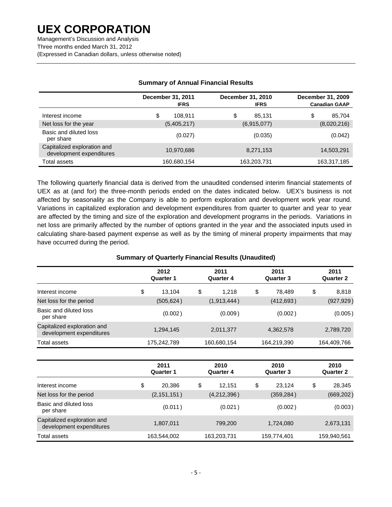Management's Discussion and Analysis Three months ended March 31, 2012 (Expressed in Canadian dollars, unless otherwise noted)

|                                                         | December 31, 2011<br><b>IFRS</b> | December 31, 2010<br><b>IFRS</b> | December 31, 2009<br><b>Canadian GAAP</b> |
|---------------------------------------------------------|----------------------------------|----------------------------------|-------------------------------------------|
| Interest income                                         | \$<br>108.911                    | \$<br>85.131                     | \$<br>85,704                              |
| Net loss for the year                                   | (5,405,217)                      | (6,915,077)                      | (8,020,216)                               |
| Basic and diluted loss<br>per share                     | (0.027)                          | (0.035)                          | (0.042)                                   |
| Capitalized exploration and<br>development expenditures | 10,970,686                       | 8,271,153                        | 14,503,291                                |
| Total assets                                            | 160,680,154                      | 163,203,731                      | 163,317,185                               |

### **Summary of Annual Financial Results**

The following quarterly financial data is derived from the unaudited condensed interim financial statements of UEX as at (and for) the three-month periods ended on the dates indicated below. UEX's business is not affected by seasonality as the Company is able to perform exploration and development work year round. Variations in capitalized exploration and development expenditures from quarter to quarter and year to year are affected by the timing and size of the exploration and development programs in the periods. Variations in net loss are primarily affected by the number of options granted in the year and the associated inputs used in calculating share-based payment expense as well as by the timing of mineral property impairments that may have occurred during the period.

### **Summary of Quarterly Financial Results (Unaudited)**

|                                                         | 2012<br><b>Quarter 1</b> | 2011<br><b>Quarter 4</b> | 2011<br><b>Quarter 3</b> | 2011<br><b>Quarter 2</b> |
|---------------------------------------------------------|--------------------------|--------------------------|--------------------------|--------------------------|
| Interest income                                         | \$<br>13,104             | \$<br>1,218              | \$<br>78,489             | \$<br>8,818              |
| Net loss for the period                                 | (505, 624)               | (1,913,444)              | (412, 693)               | (927, 929)               |
| Basic and diluted loss<br>per share                     | (0.002)                  | (0.009)                  | (0.002)                  | (0.005)                  |
| Capitalized exploration and<br>development expenditures | 1,294,145                | 2,011,377                | 4,362,578                | 2,789,720                |
| Total assets                                            | 175,242,789              | 160,680,154              | 164,219,390              | 164,409,766              |
|                                                         |                          |                          |                          |                          |
|                                                         | 2011<br><b>Quarter 1</b> | 2010<br><b>Quarter 4</b> | 2010<br><b>Quarter 3</b> | 2010<br><b>Quarter 2</b> |
| Interest income                                         | \$<br>20,386             | \$<br>12,151             | \$<br>23,124             | \$<br>28,345             |
| Net loss for the period                                 | (2, 151, 151)            | (4,212,396)              | (359, 284)               | (669, 202)               |
| Basic and diluted loss<br>per share                     | (0.011)                  | (0.021)                  | (0.002)                  | (0.003)                  |
| Capitalized exploration and<br>development expenditures | 1,807,011                | 799,200                  | 1,724,080                | 2,673,131                |
| Total assets                                            | 163,544,002              | 163,203,731              | 159,774,401              | 159,940,561              |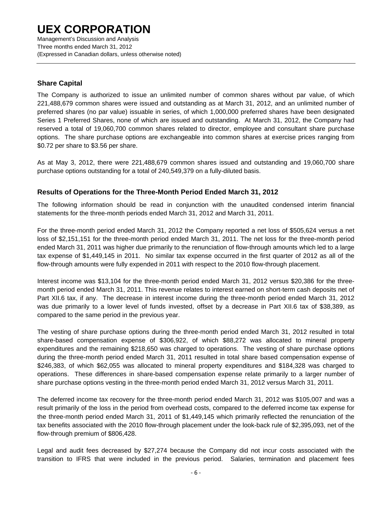Management's Discussion and Analysis Three months ended March 31, 2012 (Expressed in Canadian dollars, unless otherwise noted)

### **Share Capital**

The Company is authorized to issue an unlimited number of common shares without par value, of which 221,488,679 common shares were issued and outstanding as at March 31, 2012, and an unlimited number of preferred shares (no par value) issuable in series, of which 1,000,000 preferred shares have been designated Series 1 Preferred Shares, none of which are issued and outstanding. At March 31, 2012, the Company had reserved a total of 19,060,700 common shares related to director, employee and consultant share purchase options. The share purchase options are exchangeable into common shares at exercise prices ranging from \$0.72 per share to \$3.56 per share.

As at May 3, 2012, there were 221,488,679 common shares issued and outstanding and 19,060,700 share purchase options outstanding for a total of 240,549,379 on a fully-diluted basis.

### **Results of Operations for the Three-Month Period Ended March 31, 2012**

The following information should be read in conjunction with the unaudited condensed interim financial statements for the three-month periods ended March 31, 2012 and March 31, 2011.

For the three-month period ended March 31, 2012 the Company reported a net loss of \$505,624 versus a net loss of \$2,151,151 for the three-month period ended March 31, 2011. The net loss for the three-month period ended March 31, 2011 was higher due primarily to the renunciation of flow-through amounts which led to a large tax expense of \$1,449,145 in 2011. No similar tax expense occurred in the first quarter of 2012 as all of the flow-through amounts were fully expended in 2011 with respect to the 2010 flow-through placement.

Interest income was \$13,104 for the three-month period ended March 31, 2012 versus \$20,386 for the threemonth period ended March 31, 2011. This revenue relates to interest earned on short-term cash deposits net of Part XII.6 tax, if any. The decrease in interest income during the three-month period ended March 31, 2012 was due primarily to a lower level of funds invested, offset by a decrease in Part XII.6 tax of \$38,389, as compared to the same period in the previous year.

The vesting of share purchase options during the three-month period ended March 31, 2012 resulted in total share-based compensation expense of \$306,922, of which \$88,272 was allocated to mineral property expenditures and the remaining \$218,650 was charged to operations. The vesting of share purchase options during the three-month period ended March 31, 2011 resulted in total share based compensation expense of \$246,383, of which \$62,055 was allocated to mineral property expenditures and \$184,328 was charged to operations. These differences in share-based compensation expense relate primarily to a larger number of share purchase options vesting in the three-month period ended March 31, 2012 versus March 31, 2011.

The deferred income tax recovery for the three-month period ended March 31, 2012 was \$105,007 and was a result primarily of the loss in the period from overhead costs, compared to the deferred income tax expense for the three-month period ended March 31, 2011 of \$1,449,145 which primarily reflected the renunciation of the tax benefits associated with the 2010 flow-through placement under the look-back rule of \$2,395,093, net of the flow-through premium of \$806,428.

Legal and audit fees decreased by \$27,274 because the Company did not incur costs associated with the transition to IFRS that were included in the previous period. Salaries, termination and placement fees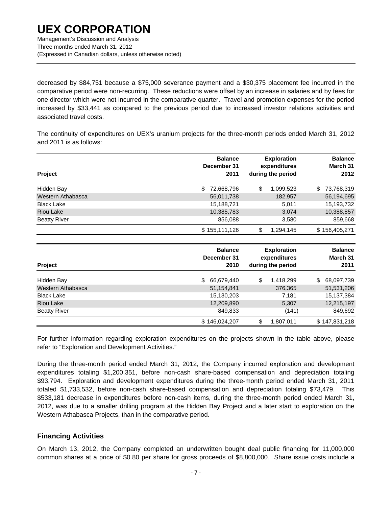Management's Discussion and Analysis Three months ended March 31, 2012 (Expressed in Canadian dollars, unless otherwise noted)

decreased by \$84,751 because a \$75,000 severance payment and a \$30,375 placement fee incurred in the comparative period were non-recurring. These reductions were offset by an increase in salaries and by fees for one director which were not incurred in the comparative quarter. Travel and promotion expenses for the period increased by \$33,441 as compared to the previous period due to increased investor relations activities and associated travel costs.

The continuity of expenditures on UEX's uranium projects for the three-month periods ended March 31, 2012 and 2011 is as follows:

| Project             | <b>Balance</b><br>December 31<br>2011 | <b>Exploration</b><br>expenditures<br>during the period | <b>Balance</b><br>March 31<br>2012 |
|---------------------|---------------------------------------|---------------------------------------------------------|------------------------------------|
| Hidden Bay          | 72,668,796<br>S.                      | \$<br>1,099,523                                         | \$<br>73,768,319                   |
| Western Athabasca   | 56,011,738                            | 182,957                                                 | 56,194,695                         |
| <b>Black Lake</b>   | 15,188,721                            | 5,011                                                   | 15,193,732                         |
| Riou Lake           | 10,385,783                            | 3,074                                                   | 10,388,857                         |
| <b>Beatty River</b> | 856,088                               | 3,580                                                   | 859,668                            |
|                     | \$155,111,126                         | \$<br>1,294,145                                         | \$156,405,271                      |
|                     |                                       |                                                         |                                    |

| Project             | <b>Balance</b><br>December 31<br>2010 | <b>Exploration</b><br>expenditures<br>during the period | <b>Balance</b><br>March 31<br>2011 |
|---------------------|---------------------------------------|---------------------------------------------------------|------------------------------------|
| Hidden Bay          | 66,679,440<br>S.                      | \$<br>1,418,299                                         | \$<br>68,097,739                   |
| Western Athabasca   | 51,154,841                            | 376,365                                                 | 51,531,206                         |
| <b>Black Lake</b>   | 15,130,203                            | 7,181                                                   | 15,137,384                         |
| <b>Riou Lake</b>    | 12,209,890                            | 5,307                                                   | 12,215,197                         |
| <b>Beatty River</b> | 849.833                               | (141)                                                   | 849,692                            |
|                     | \$146,024,207                         | \$<br>1,807,011                                         | \$147,831,218                      |

For further information regarding exploration expenditures on the projects shown in the table above, please refer to "Exploration and Development Activities."

During the three-month period ended March 31, 2012, the Company incurred exploration and development expenditures totaling \$1,200,351, before non-cash share-based compensation and depreciation totaling \$93,794. Exploration and development expenditures during the three-month period ended March 31, 2011 totaled \$1,733,532, before non-cash share-based compensation and depreciation totaling \$73,479. This \$533,181 decrease in expenditures before non-cash items, during the three-month period ended March 31, 2012, was due to a smaller drilling program at the Hidden Bay Project and a later start to exploration on the Western Athabasca Projects, than in the comparative period.

### **Financing Activities**

On March 13, 2012, the Company completed an underwritten bought deal public financing for 11,000,000 common shares at a price of \$0.80 per share for gross proceeds of \$8,800,000. Share issue costs include a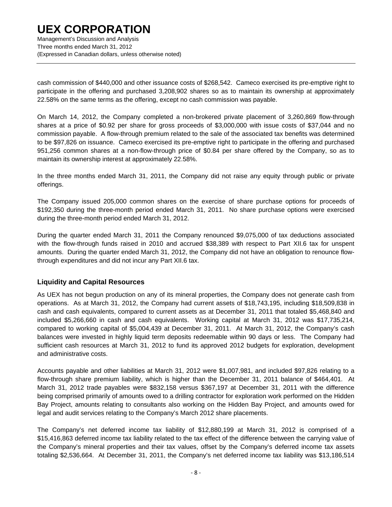Management's Discussion and Analysis Three months ended March 31, 2012 (Expressed in Canadian dollars, unless otherwise noted)

cash commission of \$440,000 and other issuance costs of \$268,542. Cameco exercised its pre-emptive right to participate in the offering and purchased 3,208,902 shares so as to maintain its ownership at approximately 22.58% on the same terms as the offering, except no cash commission was payable.

On March 14, 2012, the Company completed a non-brokered private placement of 3,260,869 flow-through shares at a price of \$0.92 per share for gross proceeds of \$3,000,000 with issue costs of \$37,044 and no commission payable. A flow-through premium related to the sale of the associated tax benefits was determined to be \$97,826 on issuance. Cameco exercised its pre-emptive right to participate in the offering and purchased 951,256 common shares at a non-flow-through price of \$0.84 per share offered by the Company, so as to maintain its ownership interest at approximately 22.58%.

In the three months ended March 31, 2011, the Company did not raise any equity through public or private offerings.

The Company issued 205,000 common shares on the exercise of share purchase options for proceeds of \$192,350 during the three-month period ended March 31, 2011. No share purchase options were exercised during the three-month period ended March 31, 2012.

During the quarter ended March 31, 2011 the Company renounced \$9,075,000 of tax deductions associated with the flow-through funds raised in 2010 and accrued \$38,389 with respect to Part XII.6 tax for unspent amounts. During the quarter ended March 31, 2012, the Company did not have an obligation to renounce flowthrough expenditures and did not incur any Part XII.6 tax.

### **Liquidity and Capital Resources**

As UEX has not begun production on any of its mineral properties, the Company does not generate cash from operations. As at March 31, 2012, the Company had current assets of \$18,743,195, including \$18,509,838 in cash and cash equivalents, compared to current assets as at December 31, 2011 that totaled \$5,468,840 and included \$5,266,660 in cash and cash equivalents. Working capital at March 31, 2012 was \$17,735,214, compared to working capital of \$5,004,439 at December 31, 2011. At March 31, 2012, the Company's cash balances were invested in highly liquid term deposits redeemable within 90 days or less. The Company had sufficient cash resources at March 31, 2012 to fund its approved 2012 budgets for exploration, development and administrative costs.

Accounts payable and other liabilities at March 31, 2012 were \$1,007,981, and included \$97,826 relating to a flow-through share premium liability, which is higher than the December 31, 2011 balance of \$464,401. At March 31, 2012 trade payables were \$832,158 versus \$367,197 at December 31, 2011 with the difference being comprised primarily of amounts owed to a drilling contractor for exploration work performed on the Hidden Bay Project, amounts relating to consultants also working on the Hidden Bay Project, and amounts owed for legal and audit services relating to the Company's March 2012 share placements.

The Company's net deferred income tax liability of \$12,880,199 at March 31, 2012 is comprised of a \$15,416,863 deferred income tax liability related to the tax effect of the difference between the carrying value of the Company's mineral properties and their tax values, offset by the Company's deferred income tax assets totaling \$2,536,664. At December 31, 2011, the Company's net deferred income tax liability was \$13,186,514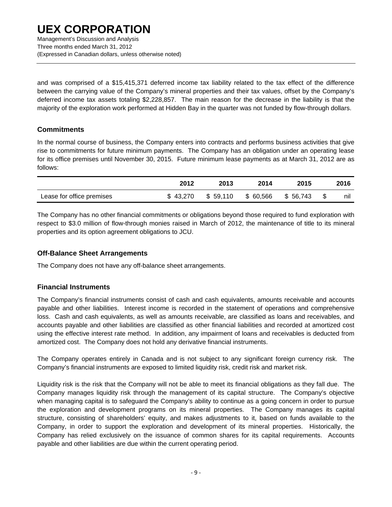Management's Discussion and Analysis Three months ended March 31, 2012 (Expressed in Canadian dollars, unless otherwise noted)

and was comprised of a \$15,415,371 deferred income tax liability related to the tax effect of the difference between the carrying value of the Company's mineral properties and their tax values, offset by the Company's deferred income tax assets totaling \$2,228,857. The main reason for the decrease in the liability is that the majority of the exploration work performed at Hidden Bay in the quarter was not funded by flow-through dollars.

### **Commitments**

In the normal course of business, the Company enters into contracts and performs business activities that give rise to commitments for future minimum payments. The Company has an obligation under an operating lease for its office premises until November 30, 2015. Future minimum lease payments as at March 31, 2012 are as follows:

|                           | 2012     | 2013     | 2014      | 2015     | 2016      |
|---------------------------|----------|----------|-----------|----------|-----------|
| Lease for office premises | \$43.270 | \$59.110 | \$ 60,566 | \$56.743 | \$<br>nıl |

The Company has no other financial commitments or obligations beyond those required to fund exploration with respect to \$3.0 million of flow-through monies raised in March of 2012, the maintenance of title to its mineral properties and its option agreement obligations to JCU.

### **Off-Balance Sheet Arrangements**

The Company does not have any off-balance sheet arrangements.

### **Financial Instruments**

The Company's financial instruments consist of cash and cash equivalents, amounts receivable and accounts payable and other liabilities. Interest income is recorded in the statement of operations and comprehensive loss. Cash and cash equivalents, as well as amounts receivable, are classified as loans and receivables, and accounts payable and other liabilities are classified as other financial liabilities and recorded at amortized cost using the effective interest rate method. In addition, any impairment of loans and receivables is deducted from amortized cost. The Company does not hold any derivative financial instruments.

The Company operates entirely in Canada and is not subject to any significant foreign currency risk. The Company's financial instruments are exposed to limited liquidity risk, credit risk and market risk.

Liquidity risk is the risk that the Company will not be able to meet its financial obligations as they fall due. The Company manages liquidity risk through the management of its capital structure. The Company's objective when managing capital is to safeguard the Company's ability to continue as a going concern in order to pursue the exploration and development programs on its mineral properties. The Company manages its capital structure, consisting of shareholders' equity, and makes adjustments to it, based on funds available to the Company, in order to support the exploration and development of its mineral properties. Historically, the Company has relied exclusively on the issuance of common shares for its capital requirements. Accounts payable and other liabilities are due within the current operating period.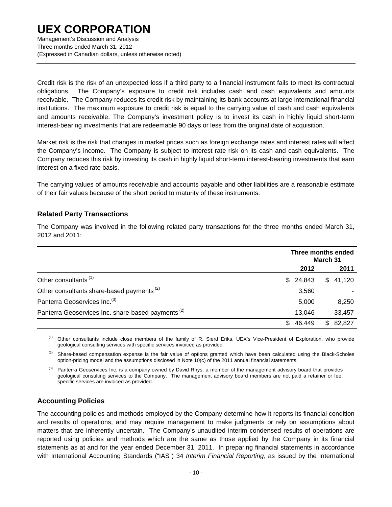Management's Discussion and Analysis Three months ended March 31, 2012 (Expressed in Canadian dollars, unless otherwise noted)

Credit risk is the risk of an unexpected loss if a third party to a financial instrument fails to meet its contractual obligations. The Company's exposure to credit risk includes cash and cash equivalents and amounts receivable. The Company reduces its credit risk by maintaining its bank accounts at large international financial institutions. The maximum exposure to credit risk is equal to the carrying value of cash and cash equivalents and amounts receivable. The Company's investment policy is to invest its cash in highly liquid short-term interest-bearing investments that are redeemable 90 days or less from the original date of acquisition.

Market risk is the risk that changes in market prices such as foreign exchange rates and interest rates will affect the Company's income. The Company is subject to interest rate risk on its cash and cash equivalents. The Company reduces this risk by investing its cash in highly liquid short-term interest-bearing investments that earn interest on a fixed rate basis.

The carrying values of amounts receivable and accounts payable and other liabilities are a reasonable estimate of their fair values because of the short period to maturity of these instruments.

### **Related Party Transactions**

The Company was involved in the following related party transactions for the three months ended March 31, 2012 and 2011:

|                                                               | Three months ended<br>March 31 |             |  |
|---------------------------------------------------------------|--------------------------------|-------------|--|
|                                                               | 2012                           | 2011        |  |
| Other consultants <sup>(1)</sup>                              | 24,843<br>SS.                  | \$41,120    |  |
| Other consultants share-based payments <sup>(2)</sup>         | 3,560                          |             |  |
| Panterra Geoservices Inc. <sup>(3)</sup>                      | 5,000                          | 8,250       |  |
| Panterra Geoservices Inc. share-based payments <sup>(2)</sup> | 13,046                         | 33,457      |  |
|                                                               | 46,449<br>S                    | 82.827<br>S |  |

(1) Other consultants include close members of the family of R. Sierd Eriks, UEX's Vice-President of Exploration, who provide geological consulting services with specific services invoiced as provided.

<sup>(2)</sup> Share-based compensation expense is the fair value of options granted which have been calculated using the Black-Scholes option-pricing model and the assumptions disclosed in Note 10(c) of the 2011 annual financial statements.

<sup>(3)</sup> Panterra Geoservices Inc. is a company owned by David Rhys, a member of the management advisory board that provides geological consulting services to the Company. The management advisory board members are not paid a retainer or fee; specific services are invoiced as provided.

### **Accounting Policies**

The accounting policies and methods employed by the Company determine how it reports its financial condition and results of operations, and may require management to make judgments or rely on assumptions about matters that are inherently uncertain. The Company's unaudited interim condensed results of operations are reported using policies and methods which are the same as those applied by the Company in its financial statements as at and for the year ended December 31, 2011. In preparing financial statements in accordance with International Accounting Standards ("IAS") 34 *Interim Financial Reporting*, as issued by the International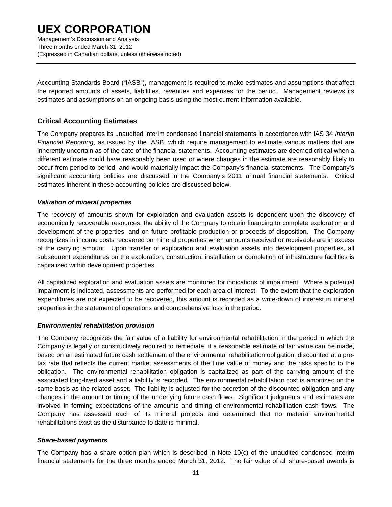Management's Discussion and Analysis Three months ended March 31, 2012 (Expressed in Canadian dollars, unless otherwise noted)

Accounting Standards Board ("IASB"), management is required to make estimates and assumptions that affect the reported amounts of assets, liabilities, revenues and expenses for the period. Management reviews its estimates and assumptions on an ongoing basis using the most current information available.

### **Critical Accounting Estimates**

The Company prepares its unaudited interim condensed financial statements in accordance with IAS 34 *Interim Financial Reporting*, as issued by the IASB, which require management to estimate various matters that are inherently uncertain as of the date of the financial statements. Accounting estimates are deemed critical when a different estimate could have reasonably been used or where changes in the estimate are reasonably likely to occur from period to period, and would materially impact the Company's financial statements. The Company's significant accounting policies are discussed in the Company's 2011 annual financial statements. Critical estimates inherent in these accounting policies are discussed below.

#### *Valuation of mineral properties*

The recovery of amounts shown for exploration and evaluation assets is dependent upon the discovery of economically recoverable resources, the ability of the Company to obtain financing to complete exploration and development of the properties, and on future profitable production or proceeds of disposition. The Company recognizes in income costs recovered on mineral properties when amounts received or receivable are in excess of the carrying amount. Upon transfer of exploration and evaluation assets into development properties, all subsequent expenditures on the exploration, construction, installation or completion of infrastructure facilities is capitalized within development properties.

All capitalized exploration and evaluation assets are monitored for indications of impairment. Where a potential impairment is indicated, assessments are performed for each area of interest. To the extent that the exploration expenditures are not expected to be recovered, this amount is recorded as a write-down of interest in mineral properties in the statement of operations and comprehensive loss in the period.

#### *Environmental rehabilitation provision*

The Company recognizes the fair value of a liability for environmental rehabilitation in the period in which the Company is legally or constructively required to remediate, if a reasonable estimate of fair value can be made, based on an estimated future cash settlement of the environmental rehabilitation obligation, discounted at a pretax rate that reflects the current market assessments of the time value of money and the risks specific to the obligation. The environmental rehabilitation obligation is capitalized as part of the carrying amount of the associated long-lived asset and a liability is recorded. The environmental rehabilitation cost is amortized on the same basis as the related asset. The liability is adjusted for the accretion of the discounted obligation and any changes in the amount or timing of the underlying future cash flows. Significant judgments and estimates are involved in forming expectations of the amounts and timing of environmental rehabilitation cash flows. The Company has assessed each of its mineral projects and determined that no material environmental rehabilitations exist as the disturbance to date is minimal.

#### *Share-based payments*

The Company has a share option plan which is described in Note 10(c) of the unaudited condensed interim financial statements for the three months ended March 31, 2012. The fair value of all share-based awards is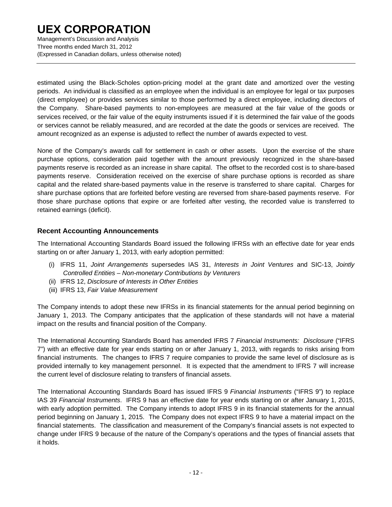Management's Discussion and Analysis Three months ended March 31, 2012 (Expressed in Canadian dollars, unless otherwise noted)

estimated using the Black-Scholes option-pricing model at the grant date and amortized over the vesting periods. An individual is classified as an employee when the individual is an employee for legal or tax purposes (direct employee) or provides services similar to those performed by a direct employee, including directors of the Company. Share-based payments to non-employees are measured at the fair value of the goods or services received, or the fair value of the equity instruments issued if it is determined the fair value of the goods or services cannot be reliably measured, and are recorded at the date the goods or services are received. The amount recognized as an expense is adjusted to reflect the number of awards expected to vest.

None of the Company's awards call for settlement in cash or other assets. Upon the exercise of the share purchase options, consideration paid together with the amount previously recognized in the share-based payments reserve is recorded as an increase in share capital. The offset to the recorded cost is to share-based payments reserve. Consideration received on the exercise of share purchase options is recorded as share capital and the related share-based payments value in the reserve is transferred to share capital. Charges for share purchase options that are forfeited before vesting are reversed from share-based payments reserve. For those share purchase options that expire or are forfeited after vesting, the recorded value is transferred to retained earnings (deficit).

### **Recent Accounting Announcements**

The International Accounting Standards Board issued the following IFRSs with an effective date for year ends starting on or after January 1, 2013, with early adoption permitted:

- (i) IFRS 11, *Joint Arrangements* supersedes IAS 31, *Interests in Joint Ventures* and SIC-13, *Jointly Controlled Entities – Non-monetary Contributions by Venturers*
- (ii) IFRS 12, *Disclosure of Interests in Other Entities*
- (iii) IFRS 13, *Fair Value Measurement*

The Company intends to adopt these new IFRSs in its financial statements for the annual period beginning on January 1, 2013. The Company anticipates that the application of these standards will not have a material impact on the results and financial position of the Company.

The International Accounting Standards Board has amended IFRS 7 *Financial Instruments: Disclosure* ("IFRS 7") with an effective date for year ends starting on or after January 1, 2013, with regards to risks arising from financial instruments. The changes to IFRS 7 require companies to provide the same level of disclosure as is provided internally to key management personnel. It is expected that the amendment to IFRS 7 will increase the current level of disclosure relating to transfers of financial assets.

The International Accounting Standards Board has issued IFRS 9 *Financial Instruments* ("IFRS 9") to replace IAS 39 *Financial Instruments*. IFRS 9 has an effective date for year ends starting on or after January 1, 2015, with early adoption permitted. The Company intends to adopt IFRS 9 in its financial statements for the annual period beginning on January 1, 2015. The Company does not expect IFRS 9 to have a material impact on the financial statements. The classification and measurement of the Company's financial assets is not expected to change under IFRS 9 because of the nature of the Company's operations and the types of financial assets that it holds.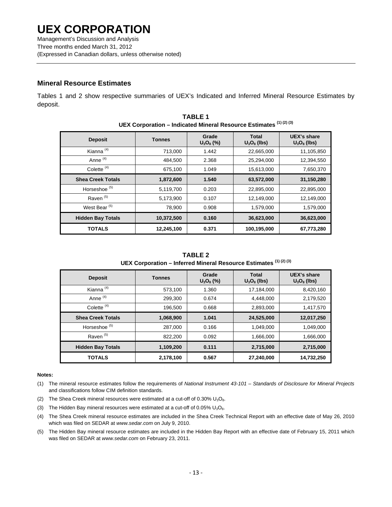### **Mineral Resource Estimates**

Tables 1 and 2 show respective summaries of UEX's Indicated and Inferred Mineral Resource Estimates by deposit.

|                          | ULA CUI DUI AUUI – IIIUICALEU MIIIIEI AI NESUULCE ESUIIIALES |                       |                                |                               |
|--------------------------|--------------------------------------------------------------|-----------------------|--------------------------------|-------------------------------|
| <b>Deposit</b>           | <b>Tonnes</b>                                                | Grade<br>$U_3O_8$ (%) | <b>Total</b><br>$U_3O_8$ (lbs) | UEX's share<br>$U_3O_8$ (lbs) |
| Kianna <sup>(4)</sup>    | 713,000                                                      | 1.442                 | 22,665,000                     | 11,105,850                    |
| Anne <sup>(4)</sup>      | 484,500                                                      | 2.368                 | 25,294,000                     | 12,394,550                    |
| Colette <sup>(4)</sup>   | 675,100                                                      | 1.049                 | 15,613,000                     | 7,650,370                     |
| <b>Shea Creek Totals</b> | 1,872,600                                                    | 1.540                 | 63,572,000                     | 31,150,280                    |
| Horseshoe <sup>(5)</sup> | 5,119,700                                                    | 0.203                 | 22,895,000                     | 22,895,000                    |
| Raven <sup>(5)</sup>     | 5,173,900                                                    | 0.107                 | 12,149,000                     | 12,149,000                    |
| West Bear <sup>(5)</sup> | 78,900                                                       | 0.908                 | 1,579,000                      | 1,579,000                     |
| <b>Hidden Bay Totals</b> | 10,372,500                                                   | 0.160                 | 36,623,000                     | 36,623,000                    |
| <b>TOTALS</b>            | 12,245,100                                                   | 0.371                 | 100,195,000                    | 67,773,280                    |

**TABLE 1 UEX Corporation – Indicated Mineral Resource Estimates (1) (2) (3)**

**TABLE 2 UEX Corporation – Inferred Mineral Resource Estimates (1) (2) (3)**

| <b>Deposit</b>           | <b>Tonnes</b> | Grade<br>$U_3O_8$ (%) | <b>Total</b><br>$U_3O_8$ (lbs) | <b>UEX's share</b><br>$U_3O_8$ (lbs) |
|--------------------------|---------------|-----------------------|--------------------------------|--------------------------------------|
| Kianna <sup>(4)</sup>    | 573,100       | 1.360                 | 17,184,000                     | 8,420,160                            |
| Anne <sup>(4)</sup>      | 299.300       | 0.674                 | 4,448,000                      | 2,179,520                            |
| Colette <sup>(4)</sup>   | 196,500       | 0.668                 | 2,893,000                      | 1,417,570                            |
| <b>Shea Creek Totals</b> | 1,068,900     | 1.041                 | 24,525,000                     | 12,017,250                           |
| Horseshoe <sup>(5)</sup> | 287,000       | 0.166                 | 1,049,000                      | 1,049,000                            |
| Raven <sup>(5)</sup>     | 822,200       | 0.092                 | 1,666,000                      | 1,666,000                            |
| <b>Hidden Bay Totals</b> | 1,109,200     | 0.111                 | 2,715,000                      | 2,715,000                            |
| <b>TOTALS</b>            | 2,178,100     | 0.567                 | 27,240,000                     | 14,732,250                           |

#### **Notes:**

- (1) The mineral resource estimates follow the requirements of *National Instrument 43-101 Standards of Disclosure for Mineral Projects* and classifications follow CIM definition standards.
- (2) The Shea Creek mineral resources were estimated at a cut-off of  $0.30\%$  U<sub>3</sub>O<sub>8</sub>.
- (3) The Hidden Bay mineral resources were estimated at a cut-off of  $0.05\%$  U<sub>3</sub>O<sub>8</sub>.
- (4) The Shea Creek mineral resource estimates are included in the Shea Creek Technical Report with an effective date of May 26, 2010 which was filed on SEDAR at *www.sedar.com* on July 9, 2010.
- (5) The Hidden Bay mineral resource estimates are included in the Hidden Bay Report with an effective date of February 15, 2011 which was filed on SEDAR at *www.sedar.com* on February 23, 2011.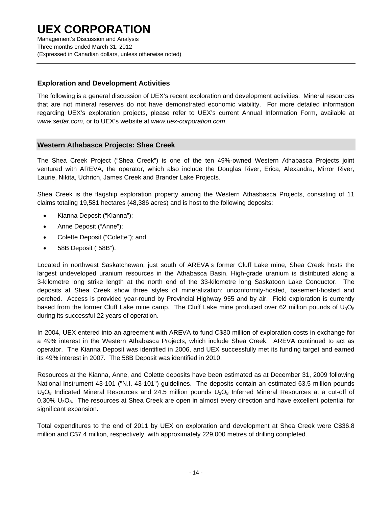Management's Discussion and Analysis Three months ended March 31, 2012 (Expressed in Canadian dollars, unless otherwise noted)

### **Exploration and Development Activities**

The following is a general discussion of UEX's recent exploration and development activities. Mineral resources that are not mineral reserves do not have demonstrated economic viability. For more detailed information regarding UEX's exploration projects, please refer to UEX's current Annual Information Form, available at *www.sedar.com*, or to UEX's website at *www.uex-corporation.com*.

### **Western Athabasca Projects: Shea Creek**

The Shea Creek Project ("Shea Creek") is one of the ten 49%-owned Western Athabasca Projects joint ventured with AREVA, the operator, which also include the Douglas River, Erica, Alexandra, Mirror River, Laurie, Nikita, Uchrich, James Creek and Brander Lake Projects.

Shea Creek is the flagship exploration property among the Western Athasbasca Projects, consisting of 11 claims totaling 19,581 hectares (48,386 acres) and is host to the following deposits:

- Kianna Deposit ("Kianna");
- Anne Deposit ("Anne");
- Colette Deposit ("Colette"); and
- 58B Deposit ("58B").

Located in northwest Saskatchewan, just south of AREVA's former Cluff Lake mine, Shea Creek hosts the largest undeveloped uranium resources in the Athabasca Basin. High-grade uranium is distributed along a 3-kilometre long strike length at the north end of the 33-kilometre long Saskatoon Lake Conductor. The deposits at Shea Creek show three styles of mineralization: unconformity-hosted, basement-hosted and perched. Access is provided year-round by Provincial Highway 955 and by air. Field exploration is currently based from the former Cluff Lake mine camp. The Cluff Lake mine produced over 62 million pounds of  $U_3O_8$ during its successful 22 years of operation.

In 2004, UEX entered into an agreement with AREVA to fund C\$30 million of exploration costs in exchange for a 49% interest in the Western Athabasca Projects, which include Shea Creek. AREVA continued to act as operator. The Kianna Deposit was identified in 2006, and UEX successfully met its funding target and earned its 49% interest in 2007. The 58B Deposit was identified in 2010.

Resources at the Kianna, Anne, and Colette deposits have been estimated as at December 31, 2009 following National Instrument 43-101 ("N.I. 43-101") guidelines. The deposits contain an estimated 63.5 million pounds  $U_3O_8$  Indicated Mineral Resources and 24.5 million pounds  $U_3O_8$  Inferred Mineral Resources at a cut-off of 0.30% U<sub>3</sub>O<sub>8</sub>. The resources at Shea Creek are open in almost every direction and have excellent potential for significant expansion.

Total expenditures to the end of 2011 by UEX on exploration and development at Shea Creek were C\$36.8 million and C\$7.4 million, respectively, with approximately 229,000 metres of drilling completed.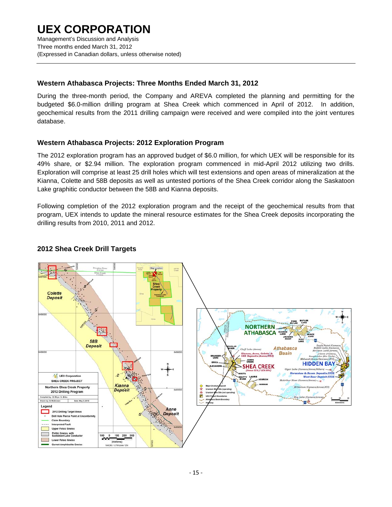### **UEX CORPORATION**  Management's Discussion and Analysis Three months ended March 31, 2012 (Expressed in Canadian dollars, unless otherwise noted)

### **Western Athabasca Projects: Three Months Ended March 31, 2012**

During the three-month period, the Company and AREVA completed the planning and permitting for the budgeted \$6.0-million drilling program at Shea Creek which commenced in April of 2012. In addition, geochemical results from the 2011 drilling campaign were received and were compiled into the joint ventures database.

### **Western Athabasca Projects: 2012 Exploration Program**

The 2012 exploration program has an approved budget of \$6.0 million, for which UEX will be responsible for its 49% share, or \$2.94 million. The exploration program commenced in mid-April 2012 utilizing two drills. Exploration will comprise at least 25 drill holes which will test extensions and open areas of mineralization at the Kianna, Colette and 58B deposits as well as untested portions of the Shea Creek corridor along the Saskatoon Lake graphitic conductor between the 58B and Kianna deposits.

Following completion of the 2012 exploration program and the receipt of the geochemical results from that program, UEX intends to update the mineral resource estimates for the Shea Creek deposits incorporating the drilling results from 2010, 2011 and 2012.



### **2012 Shea Creek Drill Targets**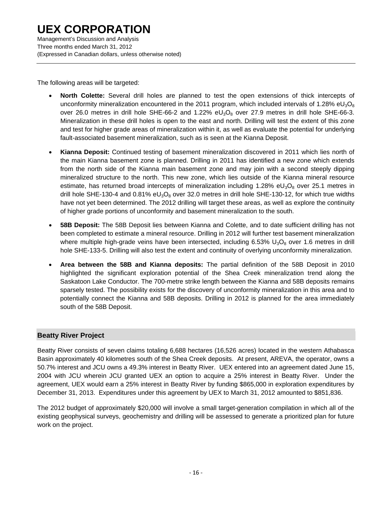The following areas will be targeted:

- **North Colette:** Several drill holes are planned to test the open extensions of thick intercepts of unconformity mineralization encountered in the 2011 program, which included intervals of 1.28%  $eU_3O_8$ over 26.0 metres in drill hole SHE-66-2 and 1.22%  $eU_3O_8$  over 27.9 metres in drill hole SHE-66-3. Mineralization in these drill holes is open to the east and north. Drilling will test the extent of this zone and test for higher grade areas of mineralization within it, as well as evaluate the potential for underlying fault-associated basement mineralization, such as is seen at the Kianna Deposit.
- **Kianna Deposit:** Continued testing of basement mineralization discovered in 2011 which lies north of the main Kianna basement zone is planned. Drilling in 2011 has identified a new zone which extends from the north side of the Kianna main basement zone and may join with a second steeply dipping mineralized structure to the north. This new zone, which lies outside of the Kianna mineral resource estimate, has returned broad intercepts of mineralization including 1.28% eU<sub>3</sub>O<sub>8</sub> over 25.1 metres in drill hole SHE-130-4 and 0.81%  $eU_3O_8$  over 32.0 metres in drill hole SHE-130-12, for which true widths have not yet been determined. The 2012 drilling will target these areas, as well as explore the continuity of higher grade portions of unconformity and basement mineralization to the south.
- **58B Deposit:** The 58B Deposit lies between Kianna and Colette, and to date sufficient drilling has not been completed to estimate a mineral resource. Drilling in 2012 will further test basement mineralization where multiple high-grade veins have been intersected, including  $6.53\%$  U<sub>3</sub>O<sub>8</sub> over 1.6 metres in drill hole SHE-133-5. Drilling will also test the extent and continuity of overlying unconformity mineralization.
- **Area between the 58B and Kianna deposits:** The partial definition of the 58B Deposit in 2010 highlighted the significant exploration potential of the Shea Creek mineralization trend along the Saskatoon Lake Conductor. The 700-metre strike length between the Kianna and 58B deposits remains sparsely tested. The possibility exists for the discovery of unconformity mineralization in this area and to potentially connect the Kianna and 58B deposits. Drilling in 2012 is planned for the area immediately south of the 58B Deposit.

### **Beatty River Project**

Beatty River consists of seven claims totaling 6,688 hectares (16,526 acres) located in the western Athabasca Basin approximately 40 kilometres south of the Shea Creek deposits. At present, AREVA, the operator, owns a 50.7% interest and JCU owns a 49.3% interest in Beatty River. UEX entered into an agreement dated June 15, 2004 with JCU wherein JCU granted UEX an option to acquire a 25% interest in Beatty River. Under the agreement, UEX would earn a 25% interest in Beatty River by funding \$865,000 in exploration expenditures by December 31, 2013. Expenditures under this agreement by UEX to March 31, 2012 amounted to \$851,836.

The 2012 budget of approximately \$20,000 will involve a small target-generation compilation in which all of the existing geophysical surveys, geochemistry and drilling will be assessed to generate a prioritized plan for future work on the project.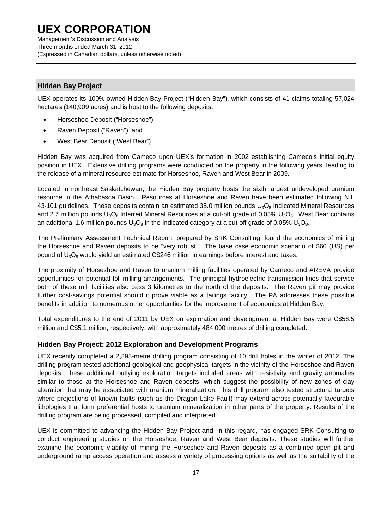Management's Discussion and Analysis Three months ended March 31, 2012 (Expressed in Canadian dollars, unless otherwise noted)

### **Hidden Bay Project**

UEX operates its 100%-owned Hidden Bay Project ("Hidden Bay"), which consists of 41 claims totaling 57,024 hectares (140,909 acres) and is host to the following deposits:

- Horseshoe Deposit ("Horseshoe");
- Raven Deposit ("Raven"); and
- West Bear Deposit ("West Bear").

Hidden Bay was acquired from Cameco upon UEX's formation in 2002 establishing Cameco's initial equity position in UEX. Extensive drilling programs were conducted on the property in the following years, leading to the release of a mineral resource estimate for Horseshoe, Raven and West Bear in 2009.

Located in northeast Saskatchewan, the Hidden Bay property hosts the sixth largest undeveloped uranium resource in the Athabasca Basin. Resources at Horseshoe and Raven have been estimated following N.I. 43-101 guidelines. These deposits contain an estimated 35.0 million pounds  $U_3O_8$  Indicated Mineral Resources and 2.7 million pounds  $U_3O_8$  Inferred Mineral Resources at a cut-off grade of 0.05%  $U_3O_8$ . West Bear contains an additional 1.6 million pounds  $U_3O_8$  in the Indicated category at a cut-off grade of 0.05%  $U_3O_8$ .

The Preliminary Assessment Technical Report, prepared by SRK Consulting, found the economics of mining the Horseshoe and Raven deposits to be "very robust." The base case economic scenario of \$60 (US) per pound of  $U_3O_8$  would yield an estimated C\$246 million in earnings before interest and taxes.

The proximity of Horseshoe and Raven to uranium milling facilities operated by Cameco and AREVA provide opportunities for potential toll milling arrangements. The principal hydroelectric transmission lines that service both of these mill facilities also pass 3 kilometres to the north of the deposits. The Raven pit may provide further cost-savings potential should it prove viable as a tailings facility. The PA addresses these possible benefits in addition to numerous other opportunities for the improvement of economics at Hidden Bay.

Total expenditures to the end of 2011 by UEX on exploration and development at Hidden Bay were C\$58.5 million and C\$5.1 million, respectively, with approximately 484,000 metres of drilling completed.

### **Hidden Bay Project: 2012 Exploration and Development Programs**

UEX recently completed a 2,898-metre drilling program consisting of 10 drill holes in the winter of 2012. The drilling program tested additional geological and geophysical targets in the vicinity of the Horseshoe and Raven deposits. These additional outlying exploration targets included areas with resistivity and gravity anomalies similar to those at the Horseshoe and Raven deposits, which suggest the possibility of new zones of clay alteration that may be associated with uranium mineralization. This drill program also tested structural targets where projections of known faults (such as the Dragon Lake Fault) may extend across potentially favourable lithologies that form preferential hosts to uranium mineralization in other parts of the property. Results of the drilling program are being processed, compiled and interpreted.

UEX is committed to advancing the Hidden Bay Project and, in this regard, has engaged SRK Consulting to conduct engineering studies on the Horseshoe, Raven and West Bear deposits. These studies will further examine the economic viability of mining the Horseshoe and Raven deposits as a combined open pit and underground ramp access operation and assess a variety of processing options as well as the suitability of the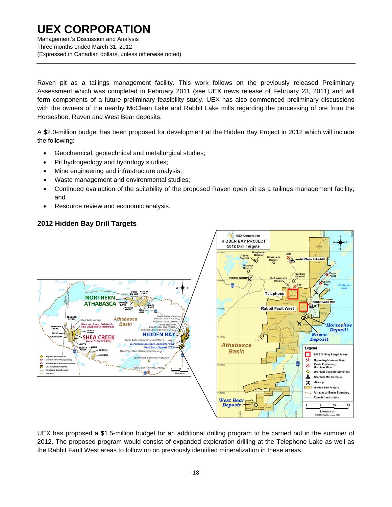Management's Discussion and Analysis Three months ended March 31, 2012 (Expressed in Canadian dollars, unless otherwise noted)

Raven pit as a tailings management facility. This work follows on the previously released Preliminary Assessment which was completed in February 2011 (see UEX news release of February 23, 2011) and will form components of a future preliminary feasibility study. UEX has also commenced preliminary discussions with the owners of the nearby McClean Lake and Rabbit Lake mills regarding the processing of ore from the Horseshoe, Raven and West Bear deposits.

A \$2.0-million budget has been proposed for development at the Hidden Bay Project in 2012 which will include the following:

- Geochemical, geotechnical and metallurgical studies;
- Pit hydrogeology and hydrology studies;
- Mine engineering and infrastructure analysis;
- Waste management and environmental studies;
- Continued evaluation of the suitability of the proposed Raven open pit as a tailings management facility; and
- Resource review and economic analysis.

### **2012 Hidden Bay Drill Targets**



UEX has proposed a \$1.5-million budget for an additional drilling program to be carried out in the summer of 2012. The proposed program would consist of expanded exploration drilling at the Telephone Lake as well as the Rabbit Fault West areas to follow up on previously identified mineralization in these areas.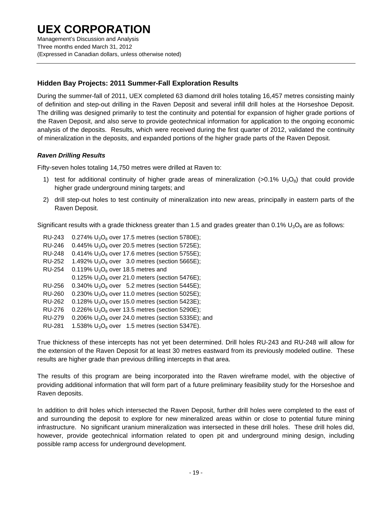Management's Discussion and Analysis Three months ended March 31, 2012 (Expressed in Canadian dollars, unless otherwise noted)

### **Hidden Bay Projects: 2011 Summer-Fall Exploration Results**

During the summer-fall of 2011, UEX completed 63 diamond drill holes totaling 16,457 metres consisting mainly of definition and step-out drilling in the Raven Deposit and several infill drill holes at the Horseshoe Deposit. The drilling was designed primarily to test the continuity and potential for expansion of higher grade portions of the Raven Deposit, and also serve to provide geotechnical information for application to the ongoing economic analysis of the deposits. Results, which were received during the first quarter of 2012, validated the continuity of mineralization in the deposits, and expanded portions of the higher grade parts of the Raven Deposit.

### *Raven Drilling Results*

Fifty-seven holes totaling 14,750 metres were drilled at Raven to:

- 1) test for additional continuity of higher grade areas of mineralization (>0.1%  $U_3O_8$ ) that could provide higher grade underground mining targets; and
- 2) drill step-out holes to test continuity of mineralization into new areas, principally in eastern parts of the Raven Deposit.

Significant results with a grade thickness greater than 1.5 and grades greater than  $0.1\%$  U<sub>3</sub>O<sub>8</sub> are as follows:

| <b>RU-243</b> | $0.274\%$ U <sub>3</sub> O <sub>8</sub> over 17.5 metres (section 5780E); |
|---------------|---------------------------------------------------------------------------|
| <b>RU-246</b> | 0.445% $U_3O_8$ over 20.5 metres (section 5725E);                         |
| <b>RU-248</b> | $0.414\%$ U <sub>3</sub> O <sub>8</sub> over 17.6 metres (section 5755E); |
| <b>RU-252</b> | 1.492% $U_3O_8$ over 3.0 metres (section 5665E);                          |
| <b>RU-254</b> | 0.119% $U_3O_8$ over 18.5 metres and                                      |
|               | 0.125% $U_3O_8$ over 21.0 meters (section 5476E);                         |
| <b>RU-256</b> | $0.340\%$ U <sub>3</sub> O <sub>8</sub> over 5.2 metres (section 5445E);  |
| <b>RU-260</b> | 0.230% $U_3O_8$ over 11.0 metres (section 5025E);                         |
| <b>RU-262</b> | $0.128\%$ U <sub>3</sub> O <sub>8</sub> over 15.0 metres (section 5423E); |
| <b>RU-276</b> | 0.226% $U_3O_8$ over 13.5 metres (section 5290E);                         |
| <b>RU-279</b> | 0.206% $U_3O_8$ over 24.0 metres (section 5335E); and                     |
| <b>RU-281</b> | 1.538% $U_3O_8$ over 1.5 metres (section 5347E).                          |

True thickness of these intercepts has not yet been determined. Drill holes RU-243 and RU-248 will allow for the extension of the Raven Deposit for at least 30 metres eastward from its previously modeled outline. These results are higher grade than previous drilling intercepts in that area.

The results of this program are being incorporated into the Raven wireframe model, with the objective of providing additional information that will form part of a future preliminary feasibility study for the Horseshoe and Raven deposits.

In addition to drill holes which intersected the Raven Deposit, further drill holes were completed to the east of and surrounding the deposit to explore for new mineralized areas within or close to potential future mining infrastructure. No significant uranium mineralization was intersected in these drill holes. These drill holes did, however, provide geotechnical information related to open pit and underground mining design, including possible ramp access for underground development.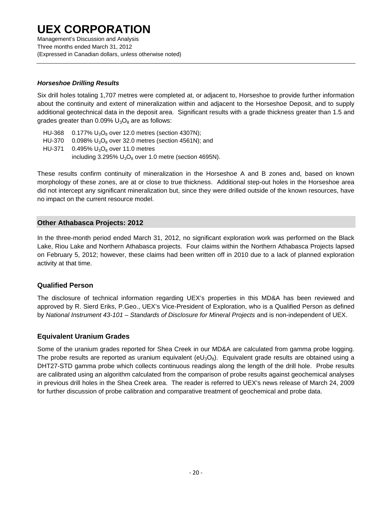Management's Discussion and Analysis Three months ended March 31, 2012 (Expressed in Canadian dollars, unless otherwise noted)

### *Horseshoe Drilling Results*

Six drill holes totaling 1,707 metres were completed at, or adjacent to, Horseshoe to provide further information about the continuity and extent of mineralization within and adjacent to the Horseshoe Deposit, and to supply additional geotechnical data in the deposit area. Significant results with a grade thickness greater than 1.5 and grades greater than  $0.09\%$   $U_3O_8$  are as follows:

HU-368  $0.177\% U_3O_8$  over 12.0 metres (section 4307N); HU-370  $0.098\% U_3O_8$  over 32.0 metres (section 4561N); and HU-371 0.495%  $U_3O_8$  over 11.0 metres including 3.295%  $U_3O_8$  over 1.0 metre (section 4695N).

These results confirm continuity of mineralization in the Horseshoe A and B zones and, based on known morphology of these zones, are at or close to true thickness. Additional step-out holes in the Horseshoe area did not intercept any significant mineralization but, since they were drilled outside of the known resources, have no impact on the current resource model.

### **Other Athabasca Projects: 2012**

In the three-month period ended March 31, 2012, no significant exploration work was performed on the Black Lake, Riou Lake and Northern Athabasca projects. Four claims within the Northern Athabasca Projects lapsed on February 5, 2012; however, these claims had been written off in 2010 due to a lack of planned exploration activity at that time.

### **Qualified Person**

The disclosure of technical information regarding UEX's properties in this MD&A has been reviewed and approved by R. Sierd Eriks, P.Geo., UEX's Vice-President of Exploration, who is a Qualified Person as defined by *National Instrument 43-101 – Standards of Disclosure for Mineral Projects* and is non-independent of UEX.

### **Equivalent Uranium Grades**

Some of the uranium grades reported for Shea Creek in our MD&A are calculated from gamma probe logging. The probe results are reported as uranium equivalent ( $eU_3O_8$ ). Equivalent grade results are obtained using a DHT27-STD gamma probe which collects continuous readings along the length of the drill hole. Probe results are calibrated using an algorithm calculated from the comparison of probe results against geochemical analyses in previous drill holes in the Shea Creek area. The reader is referred to UEX's news release of March 24, 2009 for further discussion of probe calibration and comparative treatment of geochemical and probe data.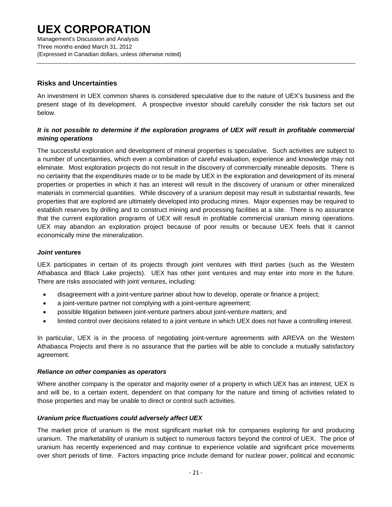Management's Discussion and Analysis Three months ended March 31, 2012 (Expressed in Canadian dollars, unless otherwise noted)

### **Risks and Uncertainties**

An investment in UEX common shares is considered speculative due to the nature of UEX's business and the present stage of its development. A prospective investor should carefully consider the risk factors set out below.

### *It is not possible to determine if the exploration programs of UEX will result in profitable commercial mining operations*

The successful exploration and development of mineral properties is speculative. Such activities are subject to a number of uncertainties, which even a combination of careful evaluation, experience and knowledge may not eliminate. Most exploration projects do not result in the discovery of commercially mineable deposits. There is no certainty that the expenditures made or to be made by UEX in the exploration and development of its mineral properties or properties in which it has an interest will result in the discovery of uranium or other mineralized materials in commercial quantities. While discovery of a uranium deposit may result in substantial rewards, few properties that are explored are ultimately developed into producing mines. Major expenses may be required to establish reserves by drilling and to construct mining and processing facilities at a site. There is no assurance that the current exploration programs of UEX will result in profitable commercial uranium mining operations. UEX may abandon an exploration project because of poor results or because UEX feels that it cannot economically mine the mineralization.

#### *Joint ventures*

UEX participates in certain of its projects through joint ventures with third parties (such as the Western Athabasca and Black Lake projects). UEX has other joint ventures and may enter into more in the future. There are risks associated with joint ventures, including:

- disagreement with a joint-venture partner about how to develop, operate or finance a project;
- a joint-venture partner not complying with a joint-venture agreement;
- possible litigation between joint-venture partners about joint-venture matters; and
- limited control over decisions related to a joint venture in which UEX does not have a controlling interest.

In particular, UEX is in the process of negotiating joint-venture agreements with AREVA on the Western Athabasca Projects and there is no assurance that the parties will be able to conclude a mutually satisfactory agreement.

#### *Reliance on other companies as operators*

Where another company is the operator and majority owner of a property in which UEX has an interest, UEX is and will be, to a certain extent, dependent on that company for the nature and timing of activities related to those properties and may be unable to direct or control such activities.

#### *Uranium price fluctuations could adversely affect UEX*

The market price of uranium is the most significant market risk for companies exploring for and producing uranium. The marketability of uranium is subject to numerous factors beyond the control of UEX. The price of uranium has recently experienced and may continue to experience volatile and significant price movements over short periods of time. Factors impacting price include demand for nuclear power, political and economic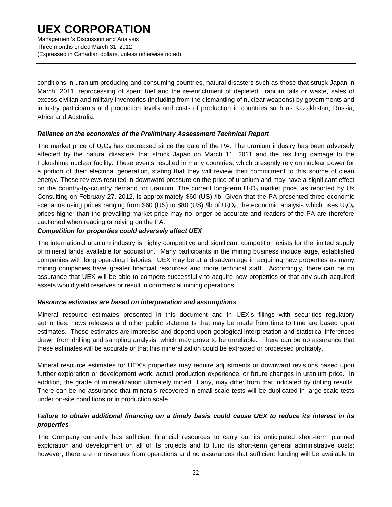Management's Discussion and Analysis Three months ended March 31, 2012 (Expressed in Canadian dollars, unless otherwise noted)

conditions in uranium producing and consuming countries, natural disasters such as those that struck Japan in March, 2011, reprocessing of spent fuel and the re-enrichment of depleted uranium tails or waste, sales of excess civilian and military inventories (including from the dismantling of nuclear weapons) by governments and industry participants and production levels and costs of production in countries such as Kazakhstan, Russia, Africa and Australia.

### *Reliance on the economics of the Preliminary Assessment Technical Report*

The market price of  $U_3O_8$  has decreased since the date of the PA. The uranium industry has been adversely affected by the natural disasters that struck Japan on March 11, 2011 and the resulting damage to the Fukushima nuclear facility. These events resulted in many countries, which presently rely on nuclear power for a portion of their electrical generation, stating that they will review their commitment to this source of clean energy. These reviews resulted in downward pressure on the price of uranium and may have a significant effect on the country-by-country demand for uranium. The current long-term  $U_3O_8$  market price, as reported by Ux Consulting on February 27, 2012, is approximately \$60 (US) /lb. Given that the PA presented three economic scenarios using prices ranging from \$60 (US) to \$80 (US) /lb of  $U_3O_8$ , the economic analysis which uses  $U_3O_8$ prices higher than the prevailing market price may no longer be accurate and readers of the PA are therefore cautioned when reading or relying on the PA.

### *Competition for properties could adversely affect UEX*

The international uranium industry is highly competitive and significant competition exists for the limited supply of mineral lands available for acquisition. Many participants in the mining business include large, established companies with long operating histories. UEX may be at a disadvantage in acquiring new properties as many mining companies have greater financial resources and more technical staff. Accordingly, there can be no assurance that UEX will be able to compete successfully to acquire new properties or that any such acquired assets would yield reserves or result in commercial mining operations.

#### *Resource estimates are based on interpretation and assumptions*

Mineral resource estimates presented in this document and in UEX's filings with securities regulatory authorities, news releases and other public statements that may be made from time to time are based upon estimates. These estimates are imprecise and depend upon geological interpretation and statistical inferences drawn from drilling and sampling analysis, which may prove to be unreliable. There can be no assurance that these estimates will be accurate or that this mineralization could be extracted or processed profitably.

Mineral resource estimates for UEX's properties may require adjustments or downward revisions based upon further exploration or development work, actual production experience, or future changes in uranium price. In addition, the grade of mineralization ultimately mined, if any, may differ from that indicated by drilling results. There can be no assurance that minerals recovered in small-scale tests will be duplicated in large-scale tests under on-site conditions or in production scale.

### *Failure to obtain additional financing on a timely basis could cause UEX to reduce its interest in its properties*

The Company currently has sufficient financial resources to carry out its anticipated short-term planned exploration and development on all of its projects and to fund its short-term general administrative costs; however, there are no revenues from operations and no assurances that sufficient funding will be available to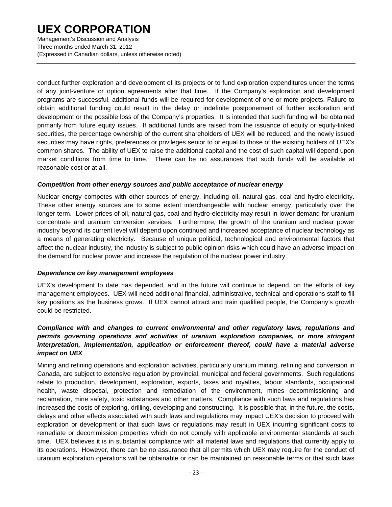Management's Discussion and Analysis Three months ended March 31, 2012 (Expressed in Canadian dollars, unless otherwise noted)

conduct further exploration and development of its projects or to fund exploration expenditures under the terms of any joint-venture or option agreements after that time. If the Company's exploration and development programs are successful, additional funds will be required for development of one or more projects. Failure to obtain additional funding could result in the delay or indefinite postponement of further exploration and development or the possible loss of the Company's properties. It is intended that such funding will be obtained primarily from future equity issues. If additional funds are raised from the issuance of equity or equity-linked securities, the percentage ownership of the current shareholders of UEX will be reduced, and the newly issued securities may have rights, preferences or privileges senior to or equal to those of the existing holders of UEX's common shares. The ability of UEX to raise the additional capital and the cost of such capital will depend upon market conditions from time to time. There can be no assurances that such funds will be available at reasonable cost or at all.

#### *Competition from other energy sources and public acceptance of nuclear energy*

Nuclear energy competes with other sources of energy, including oil, natural gas, coal and hydro-electricity. These other energy sources are to some extent interchangeable with nuclear energy, particularly over the longer term. Lower prices of oil, natural gas, coal and hydro-electricity may result in lower demand for uranium concentrate and uranium conversion services. Furthermore, the growth of the uranium and nuclear power industry beyond its current level will depend upon continued and increased acceptance of nuclear technology as a means of generating electricity. Because of unique political, technological and environmental factors that affect the nuclear industry, the industry is subject to public opinion risks which could have an adverse impact on the demand for nuclear power and increase the regulation of the nuclear power industry.

#### *Dependence on key management employees*

UEX's development to date has depended, and in the future will continue to depend, on the efforts of key management employees. UEX will need additional financial, administrative, technical and operations staff to fill key positions as the business grows. If UEX cannot attract and train qualified people, the Company's growth could be restricted.

### *Compliance with and changes to current environmental and other regulatory laws, regulations and permits governing operations and activities of uranium exploration companies, or more stringent interpretation, implementation, application or enforcement thereof, could have a material adverse impact on UEX*

Mining and refining operations and exploration activities, particularly uranium mining, refining and conversion in Canada, are subject to extensive regulation by provincial, municipal and federal governments. Such regulations relate to production, development, exploration, exports, taxes and royalties, labour standards, occupational health, waste disposal, protection and remediation of the environment, mines decommissioning and reclamation, mine safety, toxic substances and other matters. Compliance with such laws and regulations has increased the costs of exploring, drilling, developing and constructing. It is possible that, in the future, the costs, delays and other effects associated with such laws and regulations may impact UEX's decision to proceed with exploration or development or that such laws or regulations may result in UEX incurring significant costs to remediate or decommission properties which do not comply with applicable environmental standards at such time. UEX believes it is in substantial compliance with all material laws and regulations that currently apply to its operations. However, there can be no assurance that all permits which UEX may require for the conduct of uranium exploration operations will be obtainable or can be maintained on reasonable terms or that such laws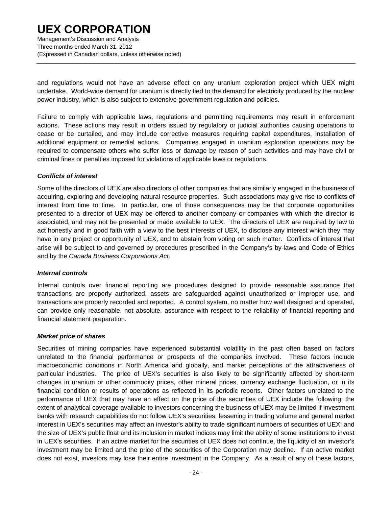Management's Discussion and Analysis Three months ended March 31, 2012 (Expressed in Canadian dollars, unless otherwise noted)

and regulations would not have an adverse effect on any uranium exploration project which UEX might undertake. World-wide demand for uranium is directly tied to the demand for electricity produced by the nuclear power industry, which is also subject to extensive government regulation and policies.

Failure to comply with applicable laws, regulations and permitting requirements may result in enforcement actions. These actions may result in orders issued by regulatory or judicial authorities causing operations to cease or be curtailed, and may include corrective measures requiring capital expenditures, installation of additional equipment or remedial actions. Companies engaged in uranium exploration operations may be required to compensate others who suffer loss or damage by reason of such activities and may have civil or criminal fines or penalties imposed for violations of applicable laws or regulations.

#### *Conflicts of interest*

Some of the directors of UEX are also directors of other companies that are similarly engaged in the business of acquiring, exploring and developing natural resource properties. Such associations may give rise to conflicts of interest from time to time. In particular, one of those consequences may be that corporate opportunities presented to a director of UEX may be offered to another company or companies with which the director is associated, and may not be presented or made available to UEX. The directors of UEX are required by law to act honestly and in good faith with a view to the best interests of UEX, to disclose any interest which they may have in any project or opportunity of UEX, and to abstain from voting on such matter. Conflicts of interest that arise will be subject to and governed by procedures prescribed in the Company's by-laws and Code of Ethics and by the *Canada Business Corporations Act*.

#### *Internal controls*

Internal controls over financial reporting are procedures designed to provide reasonable assurance that transactions are properly authorized, assets are safeguarded against unauthorized or improper use, and transactions are properly recorded and reported. A control system, no matter how well designed and operated, can provide only reasonable, not absolute, assurance with respect to the reliability of financial reporting and financial statement preparation.

#### *Market price of shares*

Securities of mining companies have experienced substantial volatility in the past often based on factors unrelated to the financial performance or prospects of the companies involved. These factors include macroeconomic conditions in North America and globally, and market perceptions of the attractiveness of particular industries. The price of UEX's securities is also likely to be significantly affected by short-term changes in uranium or other commodity prices, other mineral prices, currency exchange fluctuation, or in its financial condition or results of operations as reflected in its periodic reports. Other factors unrelated to the performance of UEX that may have an effect on the price of the securities of UEX include the following: the extent of analytical coverage available to investors concerning the business of UEX may be limited if investment banks with research capabilities do not follow UEX's securities; lessening in trading volume and general market interest in UEX's securities may affect an investor's ability to trade significant numbers of securities of UEX; and the size of UEX's public float and its inclusion in market indices may limit the ability of some institutions to invest in UEX's securities. If an active market for the securities of UEX does not continue, the liquidity of an investor's investment may be limited and the price of the securities of the Corporation may decline. If an active market does not exist, investors may lose their entire investment in the Company. As a result of any of these factors,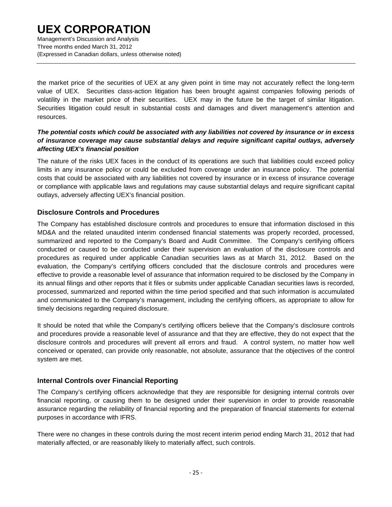Management's Discussion and Analysis Three months ended March 31, 2012 (Expressed in Canadian dollars, unless otherwise noted)

the market price of the securities of UEX at any given point in time may not accurately reflect the long-term value of UEX. Securities class-action litigation has been brought against companies following periods of volatility in the market price of their securities. UEX may in the future be the target of similar litigation. Securities litigation could result in substantial costs and damages and divert management's attention and resources.

### *The potential costs which could be associated with any liabilities not covered by insurance or in excess of insurance coverage may cause substantial delays and require significant capital outlays, adversely affecting UEX's financial position*

The nature of the risks UEX faces in the conduct of its operations are such that liabilities could exceed policy limits in any insurance policy or could be excluded from coverage under an insurance policy. The potential costs that could be associated with any liabilities not covered by insurance or in excess of insurance coverage or compliance with applicable laws and regulations may cause substantial delays and require significant capital outlays, adversely affecting UEX's financial position.

### **Disclosure Controls and Procedures**

The Company has established disclosure controls and procedures to ensure that information disclosed in this MD&A and the related unaudited interim condensed financial statements was properly recorded, processed, summarized and reported to the Company's Board and Audit Committee. The Company's certifying officers conducted or caused to be conducted under their supervision an evaluation of the disclosure controls and procedures as required under applicable Canadian securities laws as at March 31, 2012. Based on the evaluation, the Company's certifying officers concluded that the disclosure controls and procedures were effective to provide a reasonable level of assurance that information required to be disclosed by the Company in its annual filings and other reports that it files or submits under applicable Canadian securities laws is recorded, processed, summarized and reported within the time period specified and that such information is accumulated and communicated to the Company's management, including the certifying officers, as appropriate to allow for timely decisions regarding required disclosure.

It should be noted that while the Company's certifying officers believe that the Company's disclosure controls and procedures provide a reasonable level of assurance and that they are effective, they do not expect that the disclosure controls and procedures will prevent all errors and fraud. A control system, no matter how well conceived or operated, can provide only reasonable, not absolute, assurance that the objectives of the control system are met.

### **Internal Controls over Financial Reporting**

The Company's certifying officers acknowledge that they are responsible for designing internal controls over financial reporting, or causing them to be designed under their supervision in order to provide reasonable assurance regarding the reliability of financial reporting and the preparation of financial statements for external purposes in accordance with IFRS.

There were no changes in these controls during the most recent interim period ending March 31, 2012 that had materially affected, or are reasonably likely to materially affect, such controls.